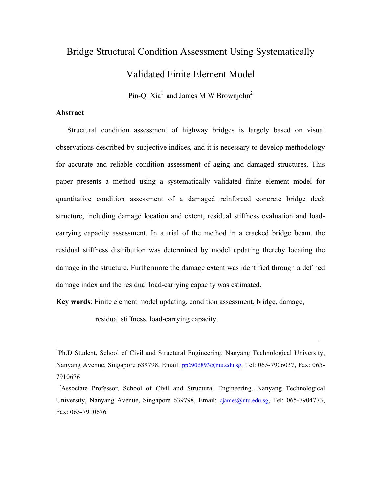# Bridge Structural Condition Assessment Using Systematically Validated Finite Element Model

Pin-Qi Xia<sup>1</sup> and James M W Brownjohn<sup>2</sup>

## **Abstract**

Structural condition assessment of highway bridges is largely based on visual observations described by subjective indices, and it is necessary to develop methodology for accurate and reliable condition assessment of aging and damaged structures. This paper presents a method using a systematically validated finite element model for quantitative condition assessment of a damaged reinforced concrete bridge deck structure, including damage location and extent, residual stiffness evaluation and loadcarrying capacity assessment. In a trial of the method in a cracked bridge beam, the residual stiffness distribution was determined by model updating thereby locating the damage in the structure. Furthermore the damage extent was identified through a defined damage index and the residual load-carrying capacity was estimated.

**Key words**: Finite element model updating, condition assessment, bridge, damage,

residual stiffness, load-carrying capacity.

<sup>&</sup>lt;sup>1</sup>Ph.D Student, School of Civil and Structural Engineering, Nanyang Technological University, Nanyang Avenue, Singapore 639798, Email: pp2906893@ntu.edu.sg, Tel: 065-7906037, Fax: 065- 7910676

<sup>&</sup>lt;sup>2</sup>Associate Professor, School of Civil and Structural Engineering, Nanyang Technological University, Nanyang Avenue, Singapore 639798, Email: cjames@ntu.edu.sg, Tel: 065-7904773, Fax: 065-7910676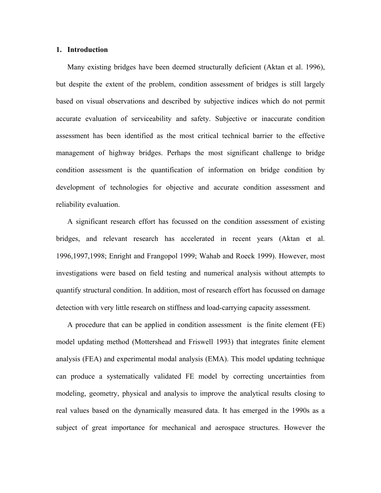#### **1. Introduction**

Many existing bridges have been deemed structurally deficient (Aktan et al. 1996), but despite the extent of the problem, condition assessment of bridges is still largely based on visual observations and described by subjective indices which do not permit accurate evaluation of serviceability and safety. Subjective or inaccurate condition assessment has been identified as the most critical technical barrier to the effective management of highway bridges. Perhaps the most significant challenge to bridge condition assessment is the quantification of information on bridge condition by development of technologies for objective and accurate condition assessment and reliability evaluation.

A significant research effort has focussed on the condition assessment of existing bridges, and relevant research has accelerated in recent years (Aktan et al. 1996,1997,1998; Enright and Frangopol 1999; Wahab and Roeck 1999). However, most investigations were based on field testing and numerical analysis without attempts to quantify structural condition. In addition, most of research effort has focussed on damage detection with very little research on stiffness and load-carrying capacity assessment.

A procedure that can be applied in condition assessment is the finite element (FE) model updating method (Mottershead and Friswell 1993) that integrates finite element analysis (FEA) and experimental modal analysis (EMA). This model updating technique can produce a systematically validated FE model by correcting uncertainties from modeling, geometry, physical and analysis to improve the analytical results closing to real values based on the dynamically measured data. It has emerged in the 1990s as a subject of great importance for mechanical and aerospace structures. However the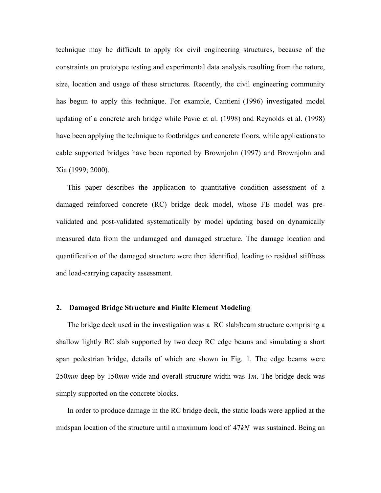technique may be difficult to apply for civil engineering structures, because of the constraints on prototype testing and experimental data analysis resulting from the nature, size, location and usage of these structures. Recently, the civil engineering community has begun to apply this technique. For example, Cantieni (1996) investigated model updating of a concrete arch bridge while Pavic et al. (1998) and Reynolds et al. (1998) have been applying the technique to footbridges and concrete floors, while applications to cable supported bridges have been reported by Brownjohn (1997) and Brownjohn and Xia (1999; 2000).

This paper describes the application to quantitative condition assessment of a damaged reinforced concrete (RC) bridge deck model, whose FE model was prevalidated and post-validated systematically by model updating based on dynamically measured data from the undamaged and damaged structure. The damage location and quantification of the damaged structure were then identified, leading to residual stiffness and load-carrying capacity assessment.

### **2. Damaged Bridge Structure and Finite Element Modeling**

The bridge deck used in the investigation was a RC slab/beam structure comprising a shallow lightly RC slab supported by two deep RC edge beams and simulating a short span pedestrian bridge, details of which are shown in Fig. 1. The edge beams were 250*mm* deep by 150*mm* wide and overall structure width was 1*m*. The bridge deck was simply supported on the concrete blocks.

In order to produce damage in the RC bridge deck, the static loads were applied at the midspan location of the structure until a maximum load of 47*kN* was sustained. Being an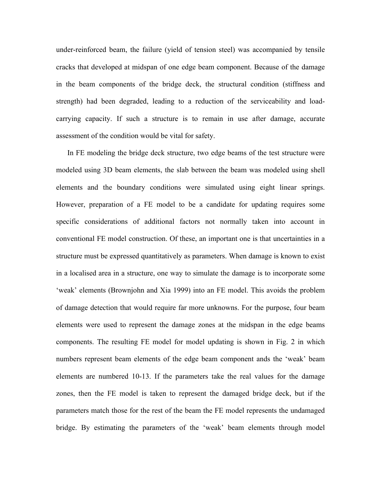under-reinforced beam, the failure (yield of tension steel) was accompanied by tensile cracks that developed at midspan of one edge beam component. Because of the damage in the beam components of the bridge deck, the structural condition (stiffness and strength) had been degraded, leading to a reduction of the serviceability and loadcarrying capacity. If such a structure is to remain in use after damage, accurate assessment of the condition would be vital for safety.

In FE modeling the bridge deck structure, two edge beams of the test structure were modeled using 3D beam elements, the slab between the beam was modeled using shell elements and the boundary conditions were simulated using eight linear springs. However, preparation of a FE model to be a candidate for updating requires some specific considerations of additional factors not normally taken into account in conventional FE model construction. Of these, an important one is that uncertainties in a structure must be expressed quantitatively as parameters. When damage is known to exist in a localised area in a structure, one way to simulate the damage is to incorporate some 'weak' elements (Brownjohn and Xia 1999) into an FE model. This avoids the problem of damage detection that would require far more unknowns. For the purpose, four beam elements were used to represent the damage zones at the midspan in the edge beams components. The resulting FE model for model updating is shown in Fig. 2 in which numbers represent beam elements of the edge beam component ands the 'weak' beam elements are numbered 10-13. If the parameters take the real values for the damage zones, then the FE model is taken to represent the damaged bridge deck, but if the parameters match those for the rest of the beam the FE model represents the undamaged bridge. By estimating the parameters of the 'weak' beam elements through model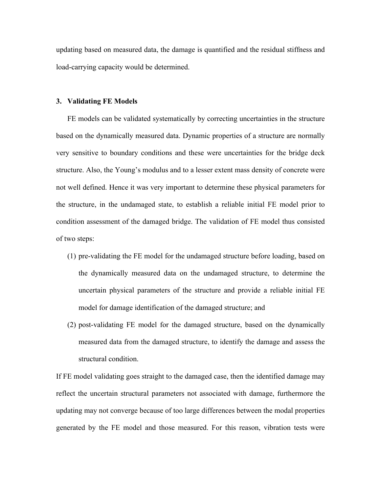updating based on measured data, the damage is quantified and the residual stiffness and load-carrying capacity would be determined.

#### **3. Validating FE Models**

FE models can be validated systematically by correcting uncertainties in the structure based on the dynamically measured data. Dynamic properties of a structure are normally very sensitive to boundary conditions and these were uncertainties for the bridge deck structure. Also, the Young's modulus and to a lesser extent mass density of concrete were not well defined. Hence it was very important to determine these physical parameters for the structure, in the undamaged state, to establish a reliable initial FE model prior to condition assessment of the damaged bridge. The validation of FE model thus consisted of two steps:

- (1) pre-validating the FE model for the undamaged structure before loading, based on the dynamically measured data on the undamaged structure, to determine the uncertain physical parameters of the structure and provide a reliable initial FE model for damage identification of the damaged structure; and
- (2) post-validating FE model for the damaged structure, based on the dynamically measured data from the damaged structure, to identify the damage and assess the structural condition.

If FE model validating goes straight to the damaged case, then the identified damage may reflect the uncertain structural parameters not associated with damage, furthermore the updating may not converge because of too large differences between the modal properties generated by the FE model and those measured. For this reason, vibration tests were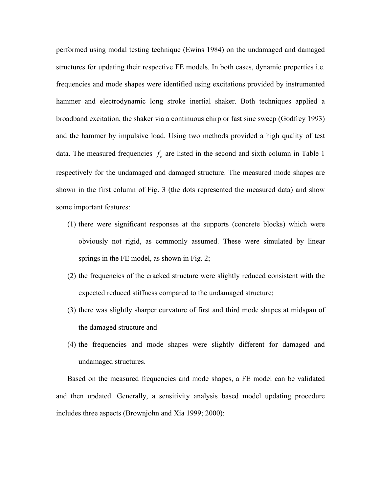performed using modal testing technique (Ewins 1984) on the undamaged and damaged structures for updating their respective FE models. In both cases, dynamic properties i.e. frequencies and mode shapes were identified using excitations provided by instrumented hammer and electrodynamic long stroke inertial shaker. Both techniques applied a broadband excitation, the shaker via a continuous chirp or fast sine sweep (Godfrey 1993) and the hammer by impulsive load. Using two methods provided a high quality of test data. The measured frequencies  $f_e$  are listed in the second and sixth column in Table 1 respectively for the undamaged and damaged structure. The measured mode shapes are shown in the first column of Fig. 3 (the dots represented the measured data) and show some important features:

- (1) there were significant responses at the supports (concrete blocks) which were obviously not rigid, as commonly assumed. These were simulated by linear springs in the FE model, as shown in Fig. 2;
- (2) the frequencies of the cracked structure were slightly reduced consistent with the expected reduced stiffness compared to the undamaged structure;
- (3) there was slightly sharper curvature of first and third mode shapes at midspan of the damaged structure and
- (4) the frequencies and mode shapes were slightly different for damaged and undamaged structures.

Based on the measured frequencies and mode shapes, a FE model can be validated and then updated. Generally, a sensitivity analysis based model updating procedure includes three aspects (Brownjohn and Xia 1999; 2000):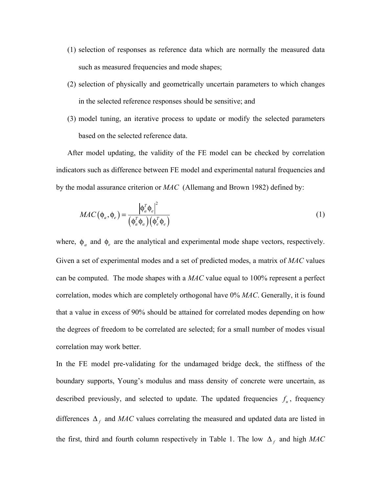- (1) selection of responses as reference data which are normally the measured data such as measured frequencies and mode shapes;
- (2) selection of physically and geometrically uncertain parameters to which changes in the selected reference responses should be sensitive; and
- (3) model tuning, an iterative process to update or modify the selected parameters based on the selected reference data.

After model updating, the validity of the FE model can be checked by correlation indicators such as difference between FE model and experimental natural frequencies and by the modal assurance criterion or *MAC* (Allemang and Brown 1982) defined by:

$$
MAC\left(\phi_a, \phi_e\right) = \frac{\left|\phi_a^T \phi_e\right|^2}{\left(\phi_a^T \phi_a\right)\left(\phi_e^T \phi_e\right)}
$$
\n(1)

where,  $\phi_a$  and  $\phi_e$  are the analytical and experimental mode shape vectors, respectively. Given a set of experimental modes and a set of predicted modes, a matrix of *MAC* values can be computed. The mode shapes with a *MAC* value equal to 100% represent a perfect correlation, modes which are completely orthogonal have 0% *MAC*. Generally, it is found that a value in excess of 90% should be attained for correlated modes depending on how the degrees of freedom to be correlated are selected; for a small number of modes visual correlation may work better.

In the FE model pre-validating for the undamaged bridge deck, the stiffness of the boundary supports, Young's modulus and mass density of concrete were uncertain, as described previously, and selected to update. The updated frequencies  $f_u$ , frequency differences  $\Delta_f$  and *MAC* values correlating the measured and updated data are listed in the first, third and fourth column respectively in Table 1. The low  $\Delta_f$  and high MAC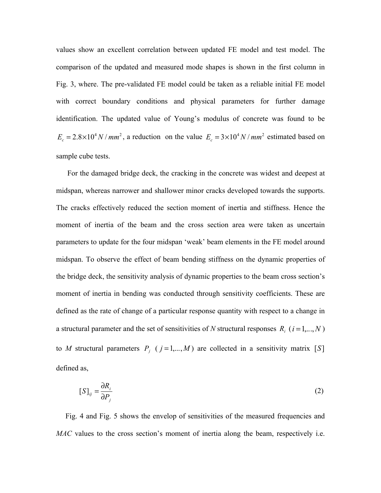values show an excellent correlation between updated FE model and test model. The comparison of the updated and measured mode shapes is shown in the first column in Fig. 3, where. The pre-validated FE model could be taken as a reliable initial FE model with correct boundary conditions and physical parameters for further damage identification. The updated value of Young's modulus of concrete was found to be  $E_c = 2.8 \times 10^4 N / mm^2$ , a reduction on the value  $E_c = 3 \times 10^4 N / mm^2$  estimated based on sample cube tests.

For the damaged bridge deck, the cracking in the concrete was widest and deepest at midspan, whereas narrower and shallower minor cracks developed towards the supports. The cracks effectively reduced the section moment of inertia and stiffness. Hence the moment of inertia of the beam and the cross section area were taken as uncertain parameters to update for the four midspan 'weak' beam elements in the FE model around midspan. To observe the effect of beam bending stiffness on the dynamic properties of the bridge deck, the sensitivity analysis of dynamic properties to the beam cross section's moment of inertia in bending was conducted through sensitivity coefficients. These are defined as the rate of change of a particular response quantity with respect to a change in a structural parameter and the set of sensitivities of *N* structural responses  $R_i$  ( $i = 1,...,N$ ) to *M* structural parameters  $P_i$  ( $j = 1,...,M$ ) are collected in a sensitivity matrix [*S*] defined as,

$$
[S]_{ij} = \frac{\partial R_i}{\partial P_j} \tag{2}
$$

 Fig. 4 and Fig. 5 shows the envelop of sensitivities of the measured frequencies and *MAC* values to the cross section's moment of inertia along the beam, respectively i.e.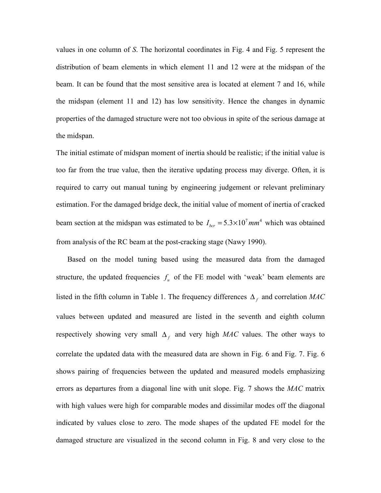values in one column of *S*. The horizontal coordinates in Fig. 4 and Fig. 5 represent the distribution of beam elements in which element 11 and 12 were at the midspan of the beam. It can be found that the most sensitive area is located at element 7 and 16, while the midspan (element 11 and 12) has low sensitivity. Hence the changes in dynamic properties of the damaged structure were not too obvious in spite of the serious damage at the midspan.

The initial estimate of midspan moment of inertia should be realistic; if the initial value is too far from the true value, then the iterative updating process may diverge. Often, it is required to carry out manual tuning by engineering judgement or relevant preliminary estimation. For the damaged bridge deck, the initial value of moment of inertia of cracked beam section at the midspan was estimated to be  $I_{bcr} = 5.3 \times 10^7$  mm<sup>4</sup> which was obtained from analysis of the RC beam at the post-cracking stage (Nawy 1990).

Based on the model tuning based using the measured data from the damaged structure, the updated frequencies  $f_u$  of the FE model with 'weak' beam elements are listed in the fifth column in Table 1. The frequency differences  $\Delta_f$  and correlation *MAC* values between updated and measured are listed in the seventh and eighth column respectively showing very small  $\Delta_f$  and very high *MAC* values. The other ways to correlate the updated data with the measured data are shown in Fig. 6 and Fig. 7. Fig. 6 shows pairing of frequencies between the updated and measured models emphasizing errors as departures from a diagonal line with unit slope. Fig. 7 shows the *MAC* matrix with high values were high for comparable modes and dissimilar modes off the diagonal indicated by values close to zero. The mode shapes of the updated FE model for the damaged structure are visualized in the second column in Fig. 8 and very close to the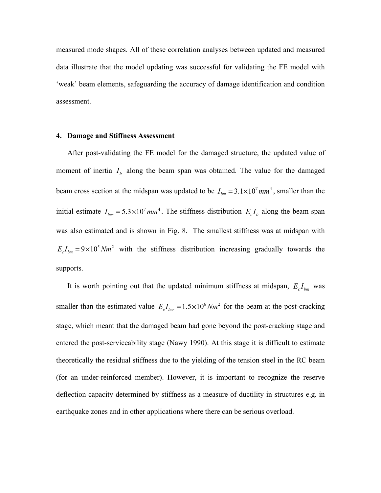measured mode shapes. All of these correlation analyses between updated and measured data illustrate that the model updating was successful for validating the FE model with 'weak' beam elements, safeguarding the accuracy of damage identification and condition assessment.

#### **4. Damage and Stiffness Assessment**

After post-validating the FE model for the damaged structure, the updated value of moment of inertia  $I<sub>b</sub>$  along the beam span was obtained. The value for the damaged beam cross section at the midspan was updated to be  $I_{bm} = 3.1 \times 10^7 \text{ mm}^4$ , smaller than the initial estimate  $I_{bcr} = 5.3 \times 10^7$  mm<sup>4</sup>. The stiffness distribution  $E_c I_b$  along the beam span was also estimated and is shown in Fig. 8. The smallest stiffness was at midspan with  $E_c I_{bm} = 9 \times 10^5 Nm^2$  with the stiffness distribution increasing gradually towards the supports.

It is worth pointing out that the updated minimum stiffness at midspan,  $E_c I_{bm}$  was smaller than the estimated value  $E_c I_{bcr} = 1.5 \times 10^6 Nm^2$  for the beam at the post-cracking stage, which meant that the damaged beam had gone beyond the post-cracking stage and entered the post-serviceability stage (Nawy 1990). At this stage it is difficult to estimate theoretically the residual stiffness due to the yielding of the tension steel in the RC beam (for an under-reinforced member). However, it is important to recognize the reserve deflection capacity determined by stiffness as a measure of ductility in structures e.g. in earthquake zones and in other applications where there can be serious overload.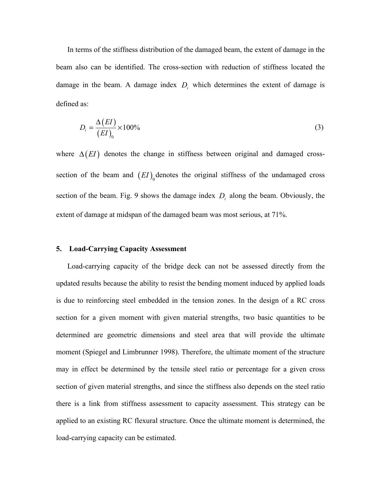In terms of the stiffness distribution of the damaged beam, the extent of damage in the beam also can be identified. The cross-section with reduction of stiffness located the damage in the beam. A damage index  $D_i$  which determines the extent of damage is defined as:

$$
D_i = \frac{\Delta(EI)}{(EI)_0} \times 100\%
$$
\n(3)

where  $\Delta(EI)$  denotes the change in stiffness between original and damaged crosssection of the beam and  $( EI)$ <sup>denotes</sup> the original stiffness of the undamaged cross section of the beam. Fig. 9 shows the damage index  $D_i$  along the beam. Obviously, the extent of damage at midspan of the damaged beam was most serious, at 71%.

#### **5. Load-Carrying Capacity Assessment**

Load-carrying capacity of the bridge deck can not be assessed directly from the updated results because the ability to resist the bending moment induced by applied loads is due to reinforcing steel embedded in the tension zones. In the design of a RC cross section for a given moment with given material strengths, two basic quantities to be determined are geometric dimensions and steel area that will provide the ultimate moment (Spiegel and Limbrunner 1998). Therefore, the ultimate moment of the structure may in effect be determined by the tensile steel ratio or percentage for a given cross section of given material strengths, and since the stiffness also depends on the steel ratio there is a link from stiffness assessment to capacity assessment. This strategy can be applied to an existing RC flexural structure. Once the ultimate moment is determined, the load-carrying capacity can be estimated.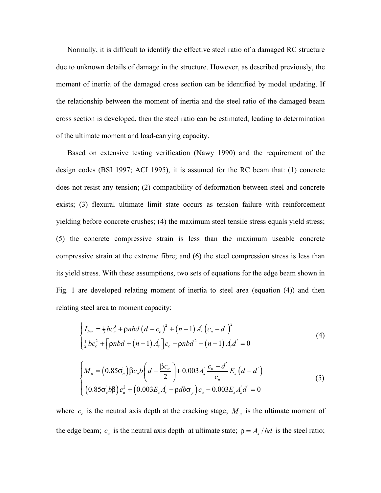Normally, it is difficult to identify the effective steel ratio of a damaged RC structure due to unknown details of damage in the structure. However, as described previously, the moment of inertia of the damaged cross section can be identified by model updating. If the relationship between the moment of inertia and the steel ratio of the damaged beam cross section is developed, then the steel ratio can be estimated, leading to determination of the ultimate moment and load-carrying capacity.

Based on extensive testing verification (Nawy 1990) and the requirement of the design codes (BSI 1997; ACI 1995), it is assumed for the RC beam that: (1) concrete does not resist any tension; (2) compatibility of deformation between steel and concrete exists; (3) flexural ultimate limit state occurs as tension failure with reinforcement yielding before concrete crushes; (4) the maximum steel tensile stress equals yield stress; (5) the concrete compressive strain is less than the maximum useable concrete compressive strain at the extreme fibre; and (6) the steel compression stress is less than its yield stress. With these assumptions, two sets of equations for the edge beam shown in Fig. 1 are developed relating moment of inertia to steel area (equation (4)) and then relating steel area to moment capacity:

$$
\begin{cases}\nI_{bcr} = \frac{1}{3}bc_c^3 + \rho nbd \left(d - c_c\right)^2 + (n - 1) A_s \left(c_c - d\right)^2 \\
\frac{1}{2}bc_c^2 + \left[\rho nbd + (n - 1) A_s\right]c_c - \rho nbd^2 - (n - 1) A_s d = 0\n\end{cases}
$$
\n(4)

$$
\begin{cases}\nM_u = (0.85\sigma_c) \beta c_u b \left( d - \frac{\beta c_u}{2} \right) + 0.003 A_s' \frac{c_u - d'}{c_u} E_s (d - d') \\
(0.85\sigma_c' b \beta) c_u^2 + (0.003 E_s A_s' - \rho d b \sigma_y) c_u - 0.003 E_s A_s' d' = 0\n\end{cases}
$$
\n(5)

where  $c_c$  is the neutral axis depth at the cracking stage;  $M_u$  is the ultimate moment of the edge beam;  $c_u$  is the neutral axis depth at ultimate state;  $\rho = A_s / bd$  is the steel ratio;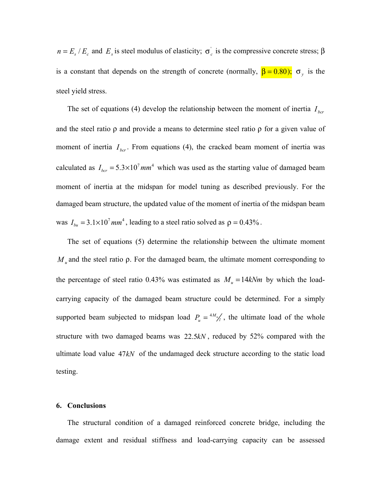$n = E_s / E_c$  and  $E_s$  is steel modulus of elasticity;  $\sigma_c$  is the compressive concrete stress;  $\beta$ is a constant that depends on the strength of concrete (normally,  $\beta = 0.80$ );  $\sigma_y$  is the steel yield stress.

The set of equations (4) develop the relationship between the moment of inertia  $I_{bcr}$ and the steel ratio  $\rho$  and provide a means to determine steel ratio  $\rho$  for a given value of moment of inertia  $I_{bcr}$ . From equations (4), the cracked beam moment of inertia was calculated as  $I_{bcr} = 5.3 \times 10^7$  *mm*<sup>4</sup> which was used as the starting value of damaged beam moment of inertia at the midspan for model tuning as described previously. For the damaged beam structure, the updated value of the moment of inertia of the midspan beam was  $I_{bu} = 3.1 \times 10^7$  *mm*<sup>4</sup>, leading to a steel ratio solved as  $\rho = 0.43\%$ .

The set of equations (5) determine the relationship between the ultimate moment *M*<sub>*u*</sub> and the steel ratio ρ. For the damaged beam, the ultimate moment corresponding to the percentage of steel ratio 0.43% was estimated as  $M_u = 14kNm$  by which the loadcarrying capacity of the damaged beam structure could be determined. For a simply supported beam subjected to midspan load  $P_u = \frac{4M_u}{l}$ , the ultimate load of the whole structure with two damaged beams was 22.5*kN* , reduced by 52% compared with the ultimate load value 47*kN* of the undamaged deck structure according to the static load testing.

#### **6. Conclusions**

The structural condition of a damaged reinforced concrete bridge, including the damage extent and residual stiffness and load-carrying capacity can be assessed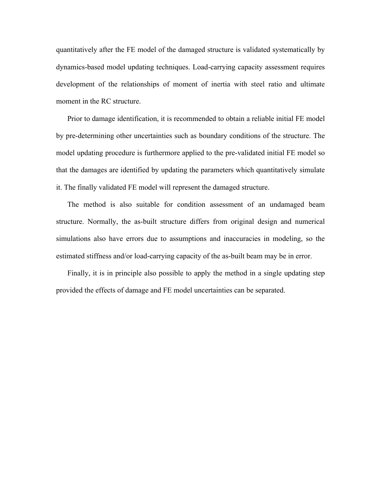quantitatively after the FE model of the damaged structure is validated systematically by dynamics-based model updating techniques. Load-carrying capacity assessment requires development of the relationships of moment of inertia with steel ratio and ultimate moment in the RC structure.

Prior to damage identification, it is recommended to obtain a reliable initial FE model by pre-determining other uncertainties such as boundary conditions of the structure. The model updating procedure is furthermore applied to the pre-validated initial FE model so that the damages are identified by updating the parameters which quantitatively simulate it. The finally validated FE model will represent the damaged structure.

The method is also suitable for condition assessment of an undamaged beam structure. Normally, the as-built structure differs from original design and numerical simulations also have errors due to assumptions and inaccuracies in modeling, so the estimated stiffness and/or load-carrying capacity of the as-built beam may be in error.

Finally, it is in principle also possible to apply the method in a single updating step provided the effects of damage and FE model uncertainties can be separated.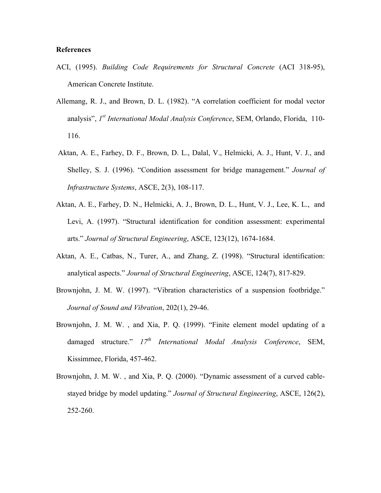#### **References**

- ACI, (1995). *Building Code Requirements for Structural Concrete* (ACI 318-95), American Concrete Institute.
- Allemang, R. J., and Brown, D. L. (1982). "A correlation coefficient for modal vector analysis", *1st International Modal Analysis Conference*, SEM, Orlando, Florida, 110- 116.
- Aktan, A. E., Farhey, D. F., Brown, D. L., Dalal, V., Helmicki, A. J., Hunt, V. J., and Shelley, S. J. (1996). "Condition assessment for bridge management." *Journal of Infrastructure Systems*, ASCE, 2(3), 108-117.
- Aktan, A. E., Farhey, D. N., Helmicki, A. J., Brown, D. L., Hunt, V. J., Lee, K. L., and Levi, A. (1997). "Structural identification for condition assessment: experimental arts." *Journal of Structural Engineering*, ASCE, 123(12), 1674-1684.
- Aktan, A. E., Catbas, N., Turer, A., and Zhang, Z. (1998). "Structural identification: analytical aspects." *Journal of Structural Engineering*, ASCE, 124(7), 817-829.
- Brownjohn, J. M. W. (1997). "Vibration characteristics of a suspension footbridge." *Journal of Sound and Vibration*, 202(1), 29-46.
- Brownjohn, J. M. W. , and Xia, P. Q. (1999). "Finite element model updating of a damaged structure." *17th International Modal Analysis Conference*, SEM, Kissimmee, Florida, 457-462.
- Brownjohn, J. M. W. , and Xia, P. Q. (2000). "Dynamic assessment of a curved cablestayed bridge by model updating." *Journal of Structural Engineering*, ASCE, 126(2), 252-260.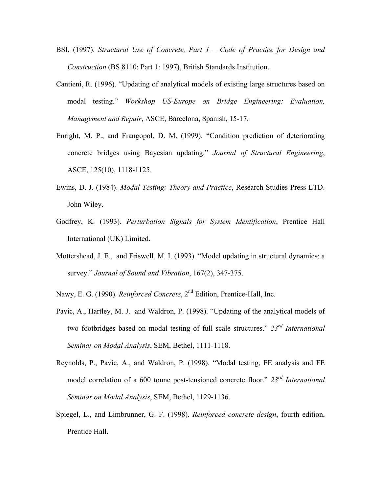- BSI, (1997). *Structural Use of Concrete, Part 1 – Code of Practice for Design and Construction* (BS 8110: Part 1: 1997), British Standards Institution.
- Cantieni, R. (1996). "Updating of analytical models of existing large structures based on modal testing." *Workshop US-Europe on Bridge Engineering: Evaluation, Management and Repair*, ASCE, Barcelona, Spanish, 15-17.
- Enright, M. P., and Frangopol, D. M. (1999). "Condition prediction of deteriorating concrete bridges using Bayesian updating." *Journal of Structural Engineering*, ASCE, 125(10), 1118-1125.
- Ewins, D. J. (1984). *Modal Testing: Theory and Practice*, Research Studies Press LTD. John Wiley.
- Godfrey, K. (1993). *Perturbation Signals for System Identification*, Prentice Hall International (UK) Limited.
- Mottershead, J. E., and Friswell, M. I. (1993). "Model updating in structural dynamics: a survey." *Journal of Sound and Vibration*, 167(2), 347-375.
- Nawy, E. G. (1990). *Reinforced Concrete*, 2nd Edition, Prentice-Hall, Inc.
- Pavic, A., Hartley, M. J. and Waldron, P. (1998). "Updating of the analytical models of two footbridges based on modal testing of full scale structures." *23rd International Seminar on Modal Analysis*, SEM, Bethel, 1111-1118.
- Reynolds, P., Pavic, A., and Waldron, P. (1998). "Modal testing, FE analysis and FE model correlation of a 600 tonne post-tensioned concrete floor." *23rd International Seminar on Modal Analysis*, SEM, Bethel, 1129-1136.
- Spiegel, L., and Limbrunner, G. F. (1998). *Reinforced concrete design*, fourth edition, Prentice Hall.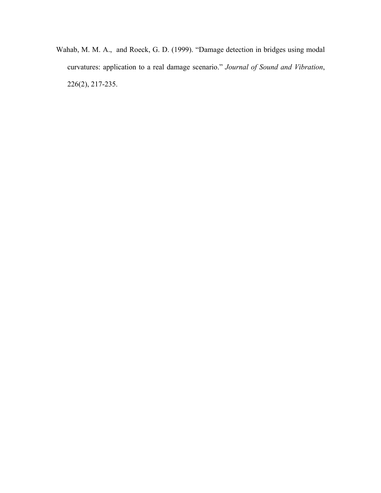Wahab, M. M. A., and Roeck, G. D. (1999). "Damage detection in bridges using modal curvatures: application to a real damage scenario." *Journal of Sound and Vibration*, 226(2), 217-235.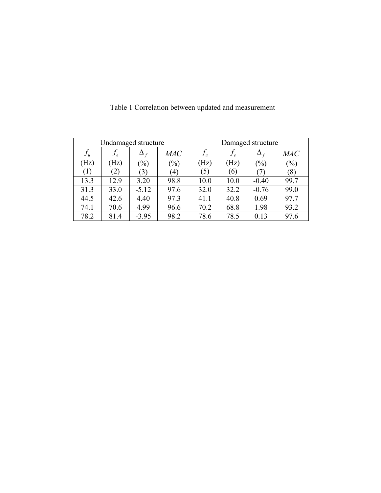| Undamaged structure |              |                  |                   | Damaged structure |      |            |            |
|---------------------|--------------|------------------|-------------------|-------------------|------|------------|------------|
| $f_u$               | $J_e$        | $\Delta_f$       | MAC               | $f_u$             |      | $\Delta_f$ | <i>MAC</i> |
| (Hz)                | (Hz          | $(\%)$           | $(\%)$            | (Hz)              | (Hz) | $(\%)$     | $(\%)$     |
| (1)                 | $\mathbf{2}$ | $\mathfrak{B}$ ) | $\left( 4\right)$ | (5)               | (6)  |            | (8)        |
| 13.3                | 12.9         | 3.20             | 98.8              | 10.0              | 10.0 | $-0.40$    | 99.7       |
| 31.3                | 33.0         | $-5.12$          | 97.6              | 32.0              | 32.2 | $-0.76$    | 99.0       |
| 44.5                | 42.6         | 4.40             | 97.3              | 41.1              | 40.8 | 0.69       | 97.7       |
| 74.1                | 70.6         | 4.99             | 96.6              | 70.2              | 68.8 | 1.98       | 93.2       |
| 78.2                | 81.4         | $-3.95$          | 98.2              | 78.6              | 78.5 | 0.13       | 97.6       |

Table 1 Correlation between updated and measurement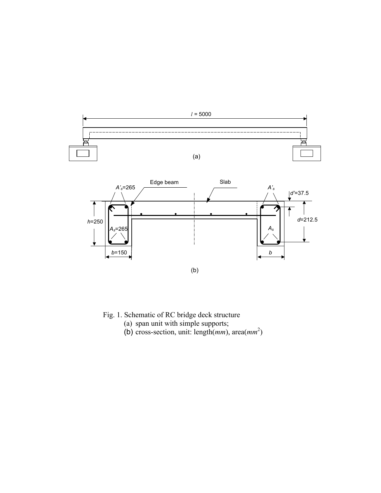



Fig. 1. Schematic of RC bridge deck structure

- (a) span unit with simple supports;
- (b) cross-section, unit: length(*mm*), area(*mm* 2 )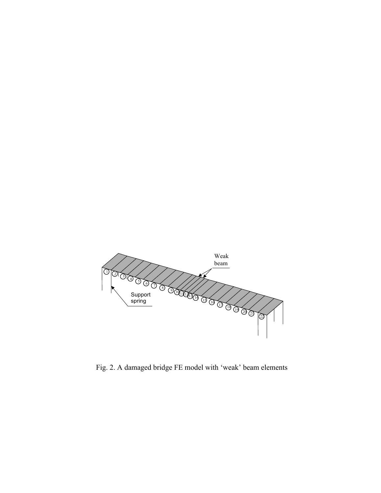

Fig. 2. A damaged bridge FE model with 'weak' beam elements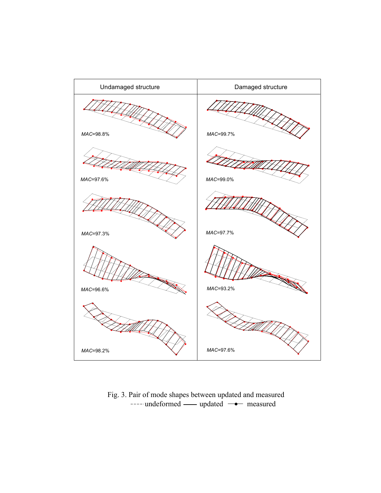

Fig. 3. Pair of mode shapes between updated and measured ---- undeformed - updated - measured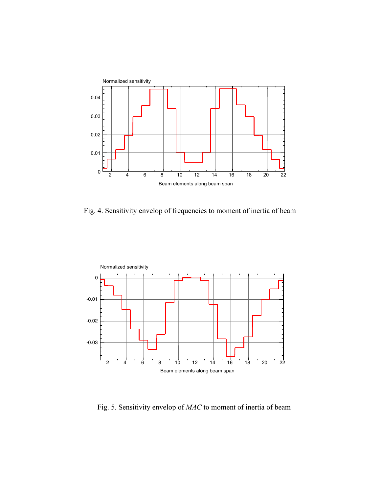

Fig. 4. Sensitivity envelop of frequencies to moment of inertia of beam



Fig. 5. Sensitivity envelop of *MAC* to moment of inertia of beam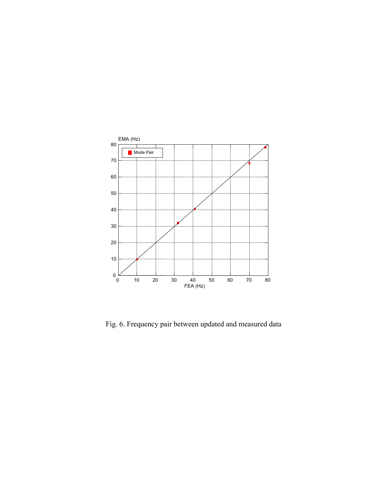

Fig. 6. Frequency pair between updated and measured data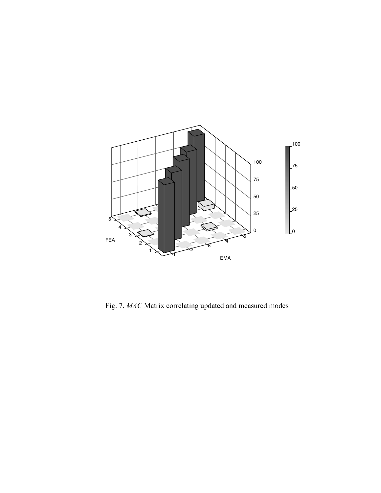

Fig. 7. *MAC* Matrix correlating updated and measured modes